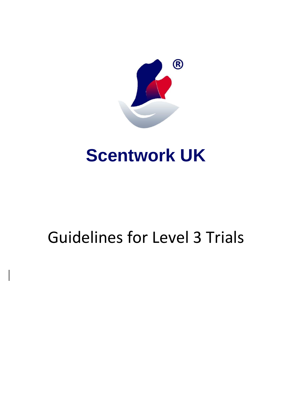

## **Scentwork UK**

# Guidelines for Level 3 Trials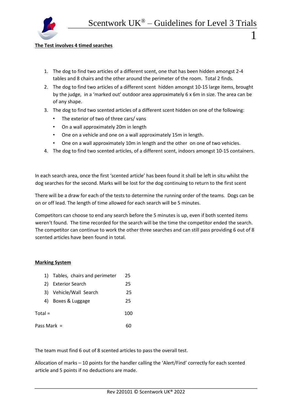

### **The Test involves 4 timed searches**

- 1. The dog to find two articles of a different scent, one that has been hidden amongst 2-4 tables and 8 chairs and the other around the perimeter of the room. Total 2 finds.
- 2. The dog to find two articles of a different scent hidden amongst 10-15 large items, brought by the judge, in a 'marked out' outdoor area approximately 6 x 6m in size. The area can be of any shape.
- 3. The dog to find two scented articles of a different scent hidden on one of the following:
	- The exterior of two of three cars/ vans
	- On a wall approximately 20m in length
	- One on a vehicle and one on a wall approximately 15m in length.
	- One on a wall approximately 10m in length and the other on one of two vehicles.
- 4. The dog to find two scented articles, of a different scent, indoors amongst 10-15 containers.

In each search area, once the first 'scented article' has been found it shall be left in situ whilst the dog searches for the second. Marks will be lost for the dog continuing to return to the first scent

There will be a draw for each of the tests to determine the running order of the teams. Dogs can be on or off lead. The length of time allowed for each search will be 5 minutes.

Competitors can choose to end any search before the 5 minutes is up, even if both scented items weren't found. The time recorded for the search will be the time the competitor ended the search. The competitor can continue to work the other three searches and can still pass providing 6 out of 8 scented articles have been found in total.

## **Marking System**

|               | 1) Tables, chairs and perimeter | 25  |
|---------------|---------------------------------|-----|
| 2)            | <b>Exterior Search</b>          | 25  |
| 31            | Vehicle/Wall Search             | 25  |
| 4)            | Boxes & Luggage                 | 25  |
| Total =       |                                 | 100 |
| Pass Mark $=$ |                                 |     |

The team must find 6 out of 8 scented articles to pass the overall test.

Allocation of marks – 10 points for the handler calling the 'Alert/Find' correctly for each scented article and 5 points if no deductions are made.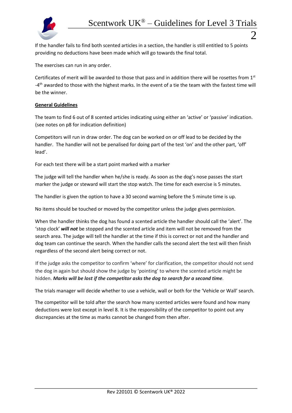

If the handler fails to find both scented articles in a section, the handler is still entitled to 5 points providing no deductions have been made which will go towards the final total.

The exercises can run in any order.

Certificates of merit will be awarded to those that pass and in addition there will be rosettes from 1st -4<sup>th</sup> awarded to those with the highest marks. In the event of a tie the team with the fastest time will be the winner.

## **General Guidelines**

The team to find 6 out of 8 scented articles indicating using either an 'active' or 'passive' indication. (see notes on p8 for indication definition)

Competitors will run in draw order. The dog can be worked on or off lead to be decided by the handler. The handler will not be penalised for doing part of the test 'on' and the other part, 'off' lead'.

For each test there will be a start point marked with a marker

The judge will tell the handler when he/she is ready. As soon as the dog's nose passes the start marker the judge or steward will start the stop watch. The time for each exercise is 5 minutes.

The handler is given the option to have a 30 second warning before the 5 minute time is up.

No items should be touched or moved by the competitor unless the judge gives permission.

When the handler thinks the dog has found a scented article the handler should call the 'alert'. The 'stop clock' *will not* be stopped and the scented article and item will not be removed from the search area. The judge will tell the handler at the time if this is correct or not and the handler and dog team can continue the search. When the handler calls the second alert the test will then finish regardless of the second alert being correct or not.

If the judge asks the competitor to confirm 'where' for clarification, the competitor should not send the dog in again but should show the judge by 'pointing' to where the scented article might be hidden. *Marks will be lost if the competitor asks the dog to search for a second time.*

The trials manager will decide whether to use a vehicle, wall or both for the 'Vehicle or Wall' search.

The competitor will be told after the search how many scented articles were found and how many deductions were lost except in level 8. It is the responsibility of the competitor to point out any discrepancies at the time as marks cannot be changed from then after.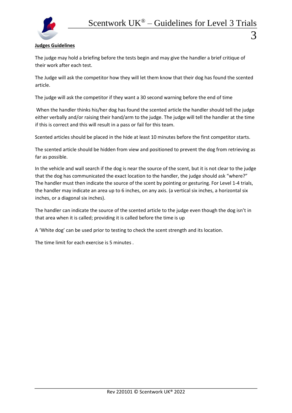

## **Judges Guidelines**

The judge may hold a briefing before the tests begin and may give the handler a brief critique of their work after each test.

The Judge will ask the competitor how they will let them know that their dog has found the scented article.

The judge will ask the competitor if they want a 30 second warning before the end of time

When the handler thinks his/her dog has found the scented article the handler should tell the judge either verbally and/or raising their hand/arm to the judge. The judge will tell the handler at the time if this is correct and this will result in a pass or fail for this team.

Scented articles should be placed in the hide at least 10 minutes before the first competitor starts.

The scented article should be hidden from view and positioned to prevent the dog from retrieving as far as possible.

In the vehicle and wall search if the dog is near the source of the scent, but it is not clear to the judge that the dog has communicated the exact location to the handler, the judge should ask "where?" The handler must then indicate the source of the scent by pointing or gesturing. For Level 1-4 trials, the handler may indicate an area up to 6 inches, on any axis. (a vertical six inches, a horizontal six inches, or a diagonal six inches).

The handler can indicate the source of the scented article to the judge even though the dog isn't in that area when it is called; providing it is called before the time is up

A 'White dog' can be used prior to testing to check the scent strength and its location.

The time limit for each exercise is 5 minutes .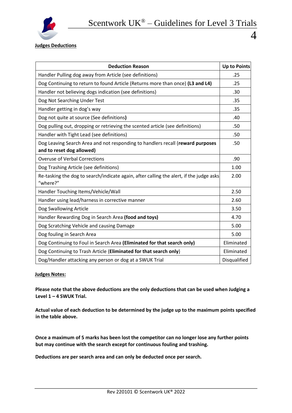

**Judges Deductions** 

| <b>Deduction Reason</b>                                                                                     | <b>Up to Points</b> |  |
|-------------------------------------------------------------------------------------------------------------|---------------------|--|
| Handler Pulling dog away from Article (see definitions)                                                     |                     |  |
| Dog Continuing to return to found Article (Returns more than once) (L3 and L4)                              |                     |  |
| Handler not believing dogs indication (see definitions)                                                     |                     |  |
| Dog Not Searching Under Test                                                                                |                     |  |
| Handler getting in dog's way                                                                                |                     |  |
| Dog not quite at source (See definitions)                                                                   |                     |  |
| Dog pulling out, dropping or retrieving the scented article (see definitions)                               |                     |  |
| Handler with Tight Lead (see definitions)                                                                   |                     |  |
| Dog Leaving Search Area and not responding to handlers recall (reward purposes<br>and to reset dog allowed) |                     |  |
| <b>Overuse of Verbal Corrections</b>                                                                        |                     |  |
| Dog Trashing Article (see definitions)                                                                      |                     |  |
| Re-tasking the dog to search/indicate again, after calling the alert, if the judge asks<br>"where?"         |                     |  |
| Handler Touching Items/Vehicle/Wall                                                                         | 2.50                |  |
| Handler using lead/harness in corrective manner                                                             |                     |  |
| Dog Swallowing Article                                                                                      |                     |  |
| Handler Rewarding Dog in Search Area (food and toys)                                                        |                     |  |
| Dog Scratching Vehicle and causing Damage                                                                   |                     |  |
| Dog fouling in Search Area                                                                                  |                     |  |
| Dog Continuing to Foul in Search Area (Eliminated for that search only)                                     |                     |  |
| Dog Continuing to Trash Article (Eliminated for that search only)                                           |                     |  |
| Dog/Handler attacking any person or dog at a SWUK Trial                                                     |                     |  |

#### **Judges Notes:**

**Please note that the above deductions are the only deductions that can be used when Judging a Level 1 – 4 SWUK Trial.** 

**Actual value of each deduction to be determined by the judge up to the maximum points specified in the table above.**

**Once a maximum of 5 marks has been lost the competitor can no longer lose any further points but may continue with the search except for continuous fouling and trashing.** 

**Deductions are per search area and can only be deducted once per search.**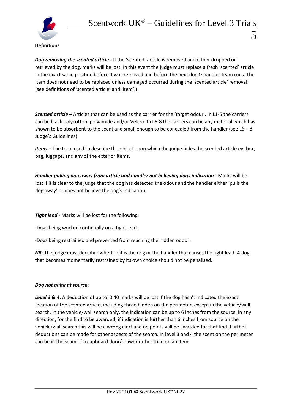

*Dog removing the scented article -* If the 'scented' article is removed and either dropped or retrieved by the dog, marks will be lost. In this event the judge must replace a fresh 'scented' article in the exact same position before it was removed and before the next dog & handler team runs. The item does not need to be replaced unless damaged occurred during the 'scented article' removal. (see definitions of 'scented article' and 'item'.)

*Scented article* – Articles that can be used as the carrier for the 'target odour'. In L1-5 the carriers can be black polycotton, polyamide and/or Velcro. In L6-8 the carriers can be any material which has shown to be absorbent to the scent and small enough to be concealed from the handler (see  $L6 - 8$ ) Judge's Guidelines)

*Items* – The term used to describe the object upon which the judge hides the scented article eg. box, bag, luggage, and any of the exterior items.

*Handler pulling dog away from article and handler not believing dogs indication -* Marks will be lost if it is clear to the judge that the dog has detected the odour and the handler either 'pulls the dog away' or does not believe the dog's indication.

*Tight lead* - Marks will be lost for the following:

-Dogs being worked continually on a tight lead.

-Dogs being restrained and prevented from reaching the hidden odour.

*NB*: The judge must decipher whether it is the dog or the handler that causes the tight lead. A dog that becomes momentarily restrained by its own choice should not be penalised.

## *Dog not quite at source*:

Level 3 & 4: A deduction of up to 0.40 marks will be lost if the dog hasn't indicated the exact location of the scented article, including those hidden on the perimeter, except in the vehicle/wall search. In the vehicle/wall search only, the indication can be up to 6 inches from the source, in any direction, for the find to be awarded; if indication is further than 6 inches from source on the vehicle/wall search this will be a wrong alert and no points will be awarded for that find. Further deductions can be made for other aspects of the search. In level 3 and 4 the scent on the perimeter can be in the seam of a cupboard door/drawer rather than on an item.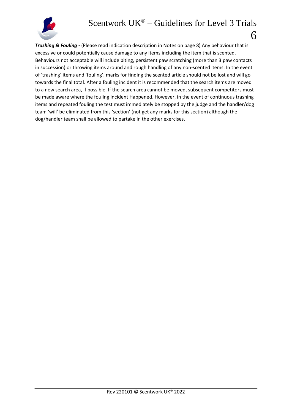

*Trashing & Fouling -* (Please read indication description in Notes on page 8) Any behaviour that is excessive or could potentially cause damage to any items including the item that is scented. Behaviours not acceptable will include biting, persistent paw scratching (more than 3 paw contacts in succession) or throwing items around and rough handling of any non-scented items. In the event of 'trashing' items and 'fouling', marks for finding the scented article should not be lost and will go towards the final total. After a fouling incident it is recommended that the search items are moved to a new search area, if possible. If the search area cannot be moved, subsequent competitors must be made aware where the fouling incident Happened. However, in the event of continuous trashing items and repeated fouling the test must immediately be stopped by the judge and the handler/dog team 'will' be eliminated from this 'section' (not get any marks for this section) although the dog/handler team shall be allowed to partake in the other exercises.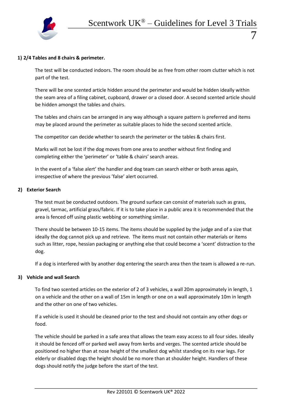

The test will be conducted indoors. The room should be as free from other room clutter which is not part of the test.

There will be one scented article hidden around the perimeter and would be hidden ideally within the seam area of a filing cabinet, cupboard, drawer or a closed door. A second scented article should be hidden amongst the tables and chairs.

The tables and chairs can be arranged in any way although a square pattern is preferred and items may be placed around the perimeter as suitable places to hide the second scented article.

The competitor can decide whether to search the perimeter or the tables & chairs first.

Marks will not be lost if the dog moves from one area to another without first finding and completing either the 'perimeter' or 'table & chairs' search areas.

In the event of a 'false alert' the handler and dog team can search either or both areas again, irrespective of where the previous 'false' alert occurred.

#### **2) Exterior Search**

The test must be conducted outdoors. The ground surface can consist of materials such as grass, gravel, tarmac, artificial grass/fabric. If it is to take place in a public area it is recommended that the area is fenced off using plastic webbing or something similar.

There should be between 10-15 items. The items should be supplied by the judge and of a size that ideally the dog cannot pick up and retrieve. The items must not contain other materials or items such as litter, rope, hessian packaging or anything else that could become a 'scent' distraction to the dog.

If a dog is interfered with by another dog entering the search area then the team is allowed a re-run.

#### **3) Vehicle and wall Search**

To find two scented articles on the exterior of 2 of 3 vehicles, a wall 20m approximately in length, 1 on a vehicle and the other on a wall of 15m in length or one on a wall approximately 10m in length and the other on one of two vehicles.

If a vehicle is used it should be cleaned prior to the test and should not contain any other dogs or food.

The vehicle should be parked in a safe area that allows the team easy access to all four sides. Ideally it should be fenced off or parked well away from kerbs and verges. The scented article should be positioned no higher than at nose height of the smallest dog whilst standing on its rear legs. For elderly or disabled dogs the height should be no more than at shoulder height. Handlers of these dogs should notify the judge before the start of the test.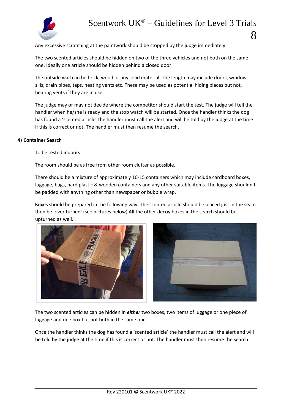

Any excessive scratching at the paintwork should be stopped by the judge immediately.

The two scented articles should be hidden on two of the three vehicles and not both on the same one. Ideally one article should be hidden behind a closed door.

The outside wall can be brick, wood or any solid material. The length may include doors, window sills, drain pipes, taps, heating vents etc. These may be used as potential hiding places but not, heating vents if they are in use.

The judge may or may not decide where the competitor should start the test. The judge will tell the handler when he/she is ready and the stop watch will be started. Once the handler thinks the dog has found a 'scented article' the handler must call the alert and will be told by the judge at the time if this is correct or not. The handler must then resume the search.

#### **4) Container Search**

To be tested indoors.

The room should be as free from other room clutter as possible.

There should be a mixture of approximately 10-15 containers which may include cardboard boxes, luggage, bags, hard plastic & wooden containers and any other suitable items. The luggage shouldn't be padded with anything other than newspaper or bubble wrap.

Boxes should be prepared in the following way: The scented article should be placed just in the seam then be 'over turned' (see pictures below) All the other decoy boxes in the search should be upturned as well.





The two scented articles can be hidden in *either* two boxes, two items of luggage or one piece of luggage and one box but not both in the same one.

Once the handler thinks the dog has found a 'scented article' the handler must call the alert and will be told by the judge at the time if this is correct or not. The handler must then resume the search.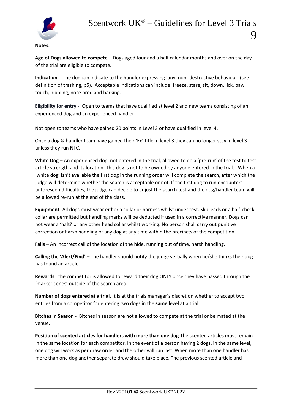

## **Notes:**

**Age of Dogs allowed to compete –** Dogs aged four and a half calendar months and over on the day of the trial are eligible to compete.

**Indication** - The dog can indicate to the handler expressing 'any' non- destructive behaviour. (see definition of trashing, p5). Acceptable indications can include: freeze, stare, sit, down, lick, paw touch, nibbling, nose prod and barking.

**Eligibility for entry -** Open to teams that have qualified at level 2 and new teams consisting of an experienced dog and an experienced handler.

Not open to teams who have gained 20 points in Level 3 or have qualified in level 4.

Once a dog & handler team have gained their 'Ex' title in level 3 they can no longer stay in level 3 unless they run NFC.

**White Dog –** An experienced dog, not entered in the trial, allowed to do a 'pre-run' of the test to test article strength and its location. This dog is not to be owned by anyone entered in the trial. . When a 'white dog' isn't available the first dog in the running order will complete the search, after which the judge will determine whether the search is acceptable or not. If the first dog to run encounters unforeseen difficulties, the judge can decide to adjust the search test and the dog/handler team will be allowed re-run at the end of the class.

**Equipment -**All dogs must wear either a collar or harness whilst under test. Slip leads or a half-check collar are permitted but handling marks will be deducted if used in a corrective manner. Dogs can not wear a 'halti' or any other head collar whilst working. No person shall carry out punitive correction or harsh handling of any dog at any time within the precincts of the competition.

**Fails –** An incorrect call of the location of the hide, running out of time, harsh handling.

**Calling the 'Alert/Find' –** The handler should notify the judge verbally when he/she thinks their dog has found an article.

**Rewards**: the competitor is allowed to reward their dog ONLY once they have passed through the 'marker cones' outside of the search area.

**Number of dogs entered at a trial.** It is at the trials manager's discretion whether to accept two entries from a competitor for entering two dogs in the **same** level at a trial.

**Bitches in Season** - Bitches in season are not allowed to compete at the trial or be mated at the venue.

**Position of scented articles for handlers with more than one dog** The scented articles must remain in the same location for each competitor. In the event of a person having 2 dogs, in the same level, one dog will work as per draw order and the other will run last. When more than one handler has more than one dog another separate draw should take place. The previous scented article and